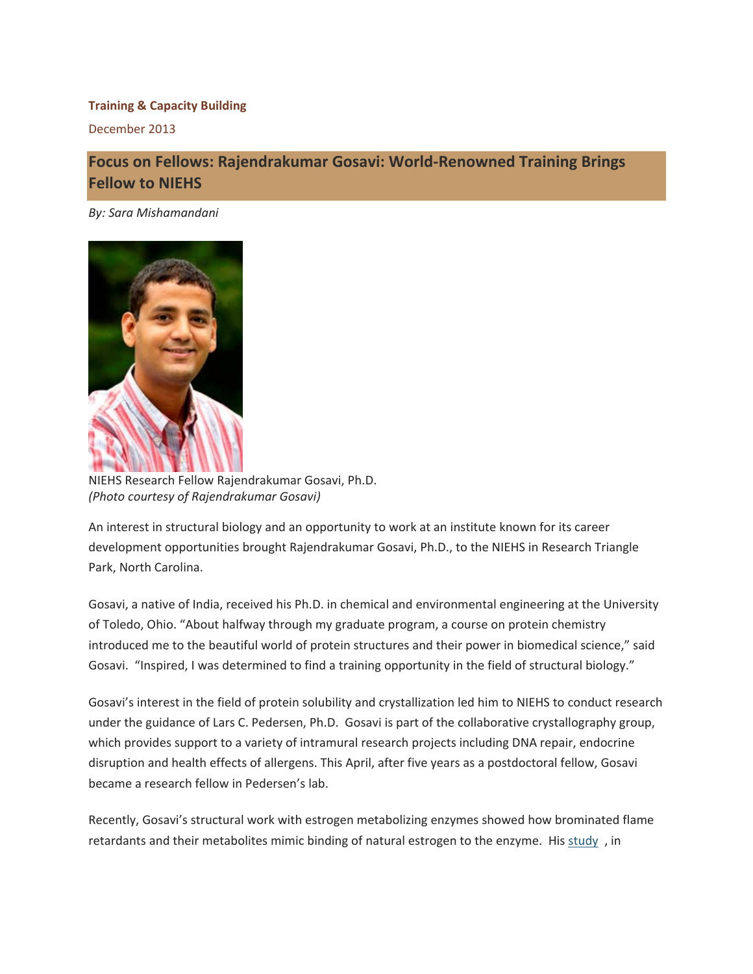## **Training & Capacity Building**

December 2013

## **Focus on Fellows: Rajendrakumar Gosavi: World‐Renowned Training Brings Fellow to NIEHS**

 *By: Sara Mishamandani*



 NIEHS Research Fellow Rajendrakumar Gosavi, Ph.D.  *(Photo courtesy of Rajendrakumar Gosavi)*

 An interest in structural biology and an opportunity to work at an institute known for its career development opportunities brought Rajendrakumar Gosavi, Ph.D., to the NIEHS in Research Triangle Park, North Carolina.

 Gosavi, a native of India, received his Ph.D. in chemical and environmental engineering at the University of Toledo, Ohio. "About halfway through my graduate program, a course on protein chemistry introduced me to the beautiful world of protein structures and their power in biomedical science," said Gosavi. "Inspired, I was determined to find a training opportunity in the field of structural biology."

 Gosavi's interest in the field of protein solubility and crystallization led him to NIEHS to conduct research under the guidance of Lars C. Pedersen, Ph.D. Gosavi is part of the collaborative crystallography group, which provides support to a variety of intramural research projects including DNA repair, endocrine disruption and health effects of allergens. This April, after five years as a postdoctoral fellow, Gosavi became a research fellow in Pedersen's lab.

 Recently, Gosavi's structural work with estrogen metabolizing enzymes showed how brominated flame retardants and their metabolites mimic binding of natural estrogen to the enzyme. His study, in